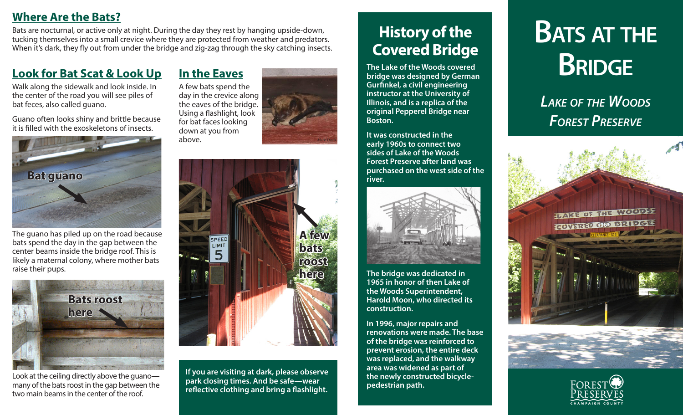#### **Where Are the Bats?**

Bats are nocturnal, or active only at night. During the day they rest by hanging upside-down, tucking themselves into a small crevice where they are protected from weather and predators. When it's dark, they fly out from under the bridge and zig-zag through the sky catching insects.

#### **Look for Bat Scat & Look Up**

Walk along the sidewalk and look inside. In the center of the road you will see piles of bat feces, also called guano.

Guano often looks shiny and brittle because it is filled with the exoskeletons of insects.



The guano has piled up on the road because bats spend the day in the gap between the center beams inside the bridge roof. This is likely a maternal colony, where mother bats raise their pups.



Look at the ceiling directly above the guano many of the bats roost in the gap between the two main beams in the center of the roof.

**In the Eaves** A few bats spend the day in the crevice along the eaves of the bridge. Using a flashlight, look for bat faces looking down at you from above.



*Mark Davis*

**If you are visiting at dark, please observe park closing times. And be safe—wear reflective clothing and bring a flashlight.** 

# **History of the Covered Bridge**

**The Lake of the Woods covered bridge was designed by German Gurfinkel, a civil engineering instructor at the University of Illinois, and is a replica of the original Pepperel Bridge near Boston.**

**It was constructed in the early 1960s to connect two sides of Lake of the Woods Forest Preserve after land was purchased on the west side of the river.** 



**The bridge was dedicated in 1965 in honor of then Lake of the Woods Superintendent, Harold Moon, who directed its construction.** 

**In 1996, major repairs and renovations were made. The base of the bridge was reinforced to prevent erosion, the entire deck was replaced, and the walkway area was widened as part of the newly constructed bicyclepedestrian path.**

# **Bats at the Bridge**

*Lake of the Woods Forest Preserve*